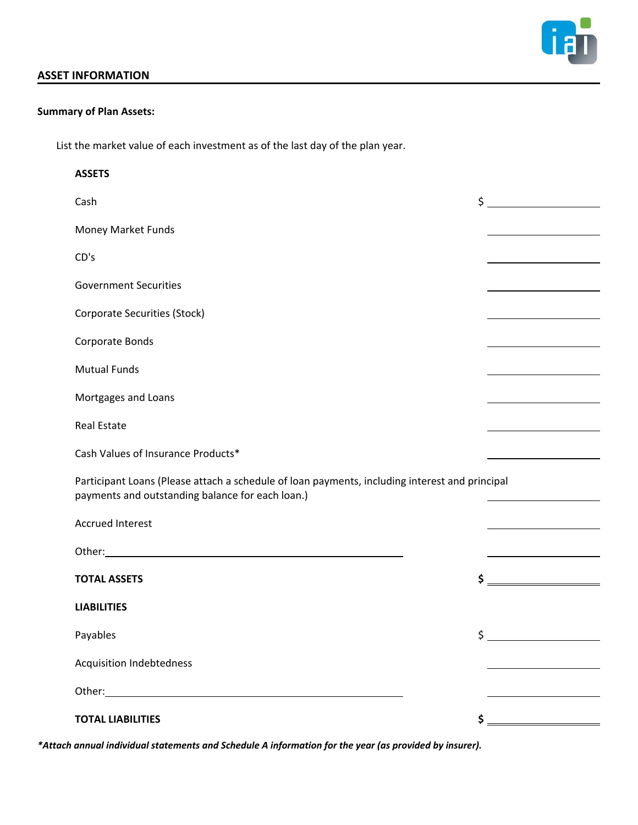

#### **ASSET INFORMATION**

#### **Summary of Plan Assets:**

List the market value of each investment as of the last day of the plan year.

| <b>ASSETS</b>                                                                                                                                      |                                                                                                                        |
|----------------------------------------------------------------------------------------------------------------------------------------------------|------------------------------------------------------------------------------------------------------------------------|
| Cash                                                                                                                                               | $\frac{1}{2}$                                                                                                          |
| Money Market Funds                                                                                                                                 | <u> 1980 - Johann Barn, mars ann an t-Aonaich an t-Aonaich an t-Aonaich an t-Aonaich an t-Aonaich ann an t-Aonaich</u> |
| CD's                                                                                                                                               |                                                                                                                        |
| <b>Government Securities</b>                                                                                                                       |                                                                                                                        |
| <b>Corporate Securities (Stock)</b>                                                                                                                |                                                                                                                        |
| Corporate Bonds                                                                                                                                    | <u> 1989 - Johann Barbara, martxa alemani</u> ar a                                                                     |
| <b>Mutual Funds</b>                                                                                                                                |                                                                                                                        |
| Mortgages and Loans                                                                                                                                |                                                                                                                        |
| <b>Real Estate</b>                                                                                                                                 |                                                                                                                        |
| Cash Values of Insurance Products*                                                                                                                 |                                                                                                                        |
| Participant Loans (Please attach a schedule of loan payments, including interest and principal<br>payments and outstanding balance for each loan.) | <u> 1989 - Johann Barbara, martxa a shekara 1989 - An</u>                                                              |
| <b>Accrued Interest</b>                                                                                                                            | <u> 1980 - Johann Barn, mars an t-Amerikaansk kommunister (</u>                                                        |
|                                                                                                                                                    | <u> 1989 - Johann Barbara, martxa al</u>                                                                               |
| <b>TOTAL ASSETS</b>                                                                                                                                | $\mathsf{S} \xrightarrow{\qquad \qquad }$                                                                              |
| <b>LIABILITIES</b>                                                                                                                                 |                                                                                                                        |
| Payables                                                                                                                                           | $\frac{1}{2}$                                                                                                          |
| <b>Acquisition Indebtedness</b>                                                                                                                    |                                                                                                                        |
|                                                                                                                                                    |                                                                                                                        |
| <b>TOTAL LIABILITIES</b>                                                                                                                           | $\mathsf{S} \xrightarrow{\hspace{0.5cm}}$                                                                              |

*\*Attach annual individual statements and Schedule A information for the year (as provided by insurer).*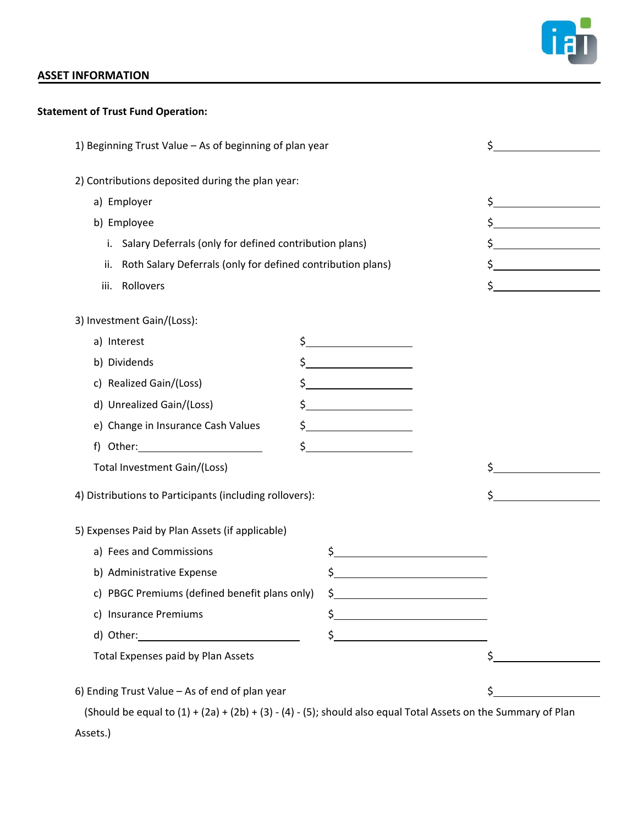

## **ASSET INFORMATION**

# **Statement of Trust Fund Operation:**

| 1) Beginning Trust Value - As of beginning of plan year            |  | \$                                                                                                                                                                                                                                                                                                                                                                                                                         |               |
|--------------------------------------------------------------------|--|----------------------------------------------------------------------------------------------------------------------------------------------------------------------------------------------------------------------------------------------------------------------------------------------------------------------------------------------------------------------------------------------------------------------------|---------------|
| 2) Contributions deposited during the plan year:                   |  |                                                                                                                                                                                                                                                                                                                                                                                                                            |               |
| a) Employer                                                        |  |                                                                                                                                                                                                                                                                                                                                                                                                                            | $\frac{1}{2}$ |
| b) Employee                                                        |  |                                                                                                                                                                                                                                                                                                                                                                                                                            |               |
| i. Salary Deferrals (only for defined contribution plans)          |  |                                                                                                                                                                                                                                                                                                                                                                                                                            | $\frac{1}{2}$ |
| Roth Salary Deferrals (only for defined contribution plans)<br>ii. |  |                                                                                                                                                                                                                                                                                                                                                                                                                            |               |
| Rollovers<br>iii.                                                  |  |                                                                                                                                                                                                                                                                                                                                                                                                                            |               |
| 3) Investment Gain/(Loss):                                         |  |                                                                                                                                                                                                                                                                                                                                                                                                                            |               |
| a) Interest                                                        |  | $\frac{1}{2}$                                                                                                                                                                                                                                                                                                                                                                                                              |               |
| b) Dividends                                                       |  | $\frac{1}{2}$                                                                                                                                                                                                                                                                                                                                                                                                              |               |
| c) Realized Gain/(Loss)                                            |  | $\frac{1}{2}$                                                                                                                                                                                                                                                                                                                                                                                                              |               |
| d) Unrealized Gain/(Loss)                                          |  |                                                                                                                                                                                                                                                                                                                                                                                                                            |               |
| e) Change in Insurance Cash Values                                 |  | $\frac{1}{2}$                                                                                                                                                                                                                                                                                                                                                                                                              |               |
|                                                                    |  | $\frac{1}{2}$                                                                                                                                                                                                                                                                                                                                                                                                              |               |
| Total Investment Gain/(Loss)                                       |  |                                                                                                                                                                                                                                                                                                                                                                                                                            |               |
| 4) Distributions to Participants (including rollovers):            |  |                                                                                                                                                                                                                                                                                                                                                                                                                            |               |
| 5) Expenses Paid by Plan Assets (if applicable)                    |  |                                                                                                                                                                                                                                                                                                                                                                                                                            |               |
| a) Fees and Commissions                                            |  | $\begin{array}{c c c c c} \n\small{\textbf{S}} & \textbf{S} & \textbf{S} & \textbf{S} & \textbf{S} & \textbf{S} & \textbf{S} & \textbf{S} & \textbf{S} & \textbf{S} & \textbf{S} & \textbf{S} & \textbf{S} & \textbf{S} & \textbf{S} & \textbf{S} & \textbf{S} & \textbf{S} & \textbf{S} & \textbf{S} & \textbf{S} & \textbf{S} & \textbf{S} & \textbf{S} & \textbf{S} & \textbf{S} & \textbf{S} & \textbf{S} & \textbf{S$ |               |
| b) Administrative Expense                                          |  | \$                                                                                                                                                                                                                                                                                                                                                                                                                         |               |
| c) PBGC Premiums (defined benefit plans only)                      |  | $\frac{1}{2}$                                                                                                                                                                                                                                                                                                                                                                                                              |               |
| c) Insurance Premiums                                              |  |                                                                                                                                                                                                                                                                                                                                                                                                                            |               |
|                                                                    |  | \$                                                                                                                                                                                                                                                                                                                                                                                                                         |               |
| Total Expenses paid by Plan Assets                                 |  |                                                                                                                                                                                                                                                                                                                                                                                                                            | \$            |
| 6) Ending Trust Value - As of end of plan year                     |  |                                                                                                                                                                                                                                                                                                                                                                                                                            |               |
|                                                                    |  |                                                                                                                                                                                                                                                                                                                                                                                                                            |               |

(Should be equal to  $(1) + (2a) + (2b) + (3) - (4) - (5)$ ; should also equal Total Assets on the Summary of Plan Assets.)